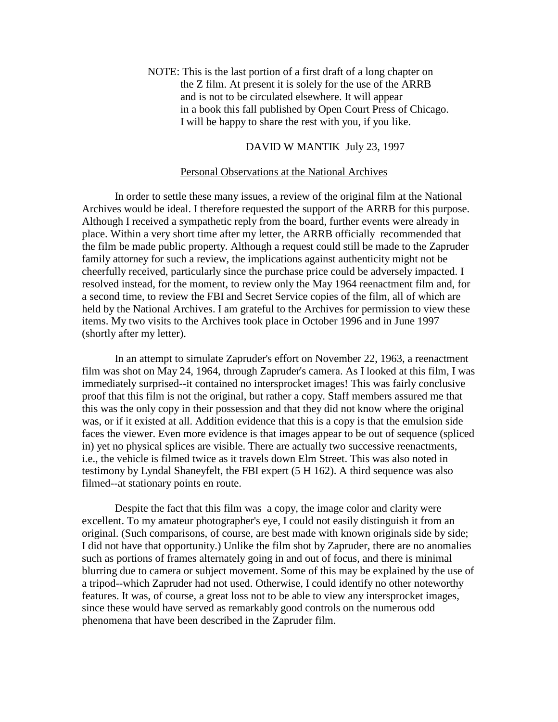NOTE: This is the last portion of a first draft of a long chapter on the Z film. At present it is solely for the use of the ARRB and is not to be circulated elsewhere. It will appear in a book this fall published by Open Court Press of Chicago. I will be happy to share the rest with you, if you like.

## DAVID W MANTIK July 23, 1997

## Personal Observations at the National Archives

In order to settle these many issues, a review of the original film at the National Archives would be ideal. I therefore requested the support of the ARRB for this purpose. Although I received a sympathetic reply from the board, further events were already in place. Within a very short time after my letter, the ARRB officially recommended that the film be made public property. Although a request could still be made to the Zapruder family attorney for such a review, the implications against authenticity might not be cheerfully received, particularly since the purchase price could be adversely impacted. I resolved instead, for the moment, to review only the May 1964 reenactment film and, for a second time, to review the FBI and Secret Service copies of the film, all of which are held by the National Archives. I am grateful to the Archives for permission to view these items. My two visits to the Archives took place in October 1996 and in June 1997 (shortly after my letter).

In an attempt to simulate Zapruder's effort on November 22, 1963, a reenactment film was shot on May 24, 1964, through Zapruder's camera. As I looked at this film, I was immediately surprised--it contained no intersprocket images! This was fairly conclusive proof that this film is not the original, but rather a copy. Staff members assured me that this was the only copy in their possession and that they did not know where the original was, or if it existed at all. Addition evidence that this is a copy is that the emulsion side faces the viewer. Even more evidence is that images appear to be out of sequence (spliced in) yet no physical splices are visible. There are actually two successive reenactments, i.e., the vehicle is filmed twice as it travels down Elm Street. This was also noted in testimony by Lyndal Shaneyfelt, the FBI expert (5 H 162). A third sequence was also filmed--at stationary points en route.

Despite the fact that this film was a copy, the image color and clarity were excellent. To my amateur photographer's eye, I could not easily distinguish it from an original. (Such comparisons, of course, are best made with known originals side by side; I did not have that opportunity.) Unlike the film shot by Zapruder, there are no anomalies such as portions of frames alternately going in and out of focus, and there is minimal blurring due to camera or subject movement. Some of this may be explained by the use of a tripod--which Zapruder had not used. Otherwise, I could identify no other noteworthy features. It was, of course, a great loss not to be able to view any intersprocket images, since these would have served as remarkably good controls on the numerous odd phenomena that have been described in the Zapruder film.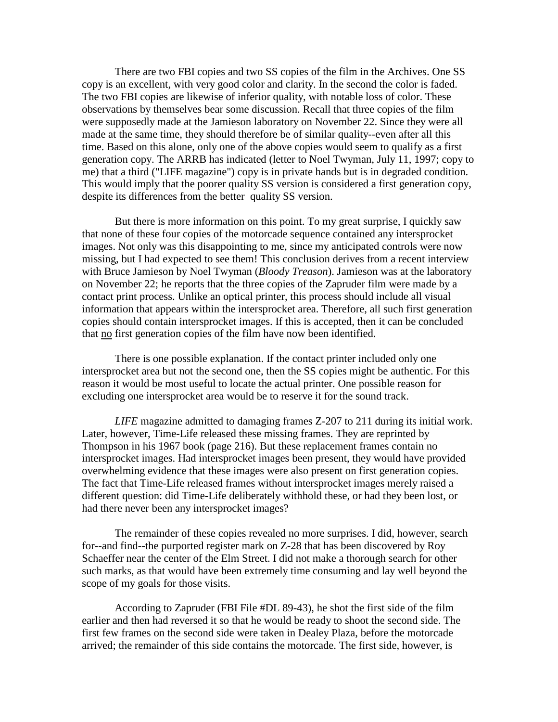There are two FBI copies and two SS copies of the film in the Archives. One SS copy is an excellent, with very good color and clarity. In the second the color is faded. The two FBI copies are likewise of inferior quality, with notable loss of color. These observations by themselves bear some discussion. Recall that three copies of the film were supposedly made at the Jamieson laboratory on November 22. Since they were all made at the same time, they should therefore be of similar quality--even after all this time. Based on this alone, only one of the above copies would seem to qualify as a first generation copy. The ARRB has indicated (letter to Noel Twyman, July 11, 1997; copy to me) that a third ("LIFE magazine") copy is in private hands but is in degraded condition. This would imply that the poorer quality SS version is considered a first generation copy, despite its differences from the better quality SS version.

But there is more information on this point. To my great surprise, I quickly saw that none of these four copies of the motorcade sequence contained any intersprocket images. Not only was this disappointing to me, since my anticipated controls were now missing, but I had expected to see them! This conclusion derives from a recent interview with Bruce Jamieson by Noel Twyman (*Bloody Treason*). Jamieson was at the laboratory on November 22; he reports that the three copies of the Zapruder film were made by a contact print process. Unlike an optical printer, this process should include all visual information that appears within the intersprocket area. Therefore, all such first generation copies should contain intersprocket images. If this is accepted, then it can be concluded that no first generation copies of the film have now been identified.

There is one possible explanation. If the contact printer included only one intersprocket area but not the second one, then the SS copies might be authentic. For this reason it would be most useful to locate the actual printer. One possible reason for excluding one intersprocket area would be to reserve it for the sound track.

*LIFE* magazine admitted to damaging frames Z-207 to 211 during its initial work. Later, however, Time-Life released these missing frames. They are reprinted by Thompson in his 1967 book (page 216). But these replacement frames contain no intersprocket images. Had intersprocket images been present, they would have provided overwhelming evidence that these images were also present on first generation copies. The fact that Time-Life released frames without intersprocket images merely raised a different question: did Time-Life deliberately withhold these, or had they been lost, or had there never been any intersprocket images?

The remainder of these copies revealed no more surprises. I did, however, search for--and find--the purported register mark on Z-28 that has been discovered by Roy Schaeffer near the center of the Elm Street. I did not make a thorough search for other such marks, as that would have been extremely time consuming and lay well beyond the scope of my goals for those visits.

According to Zapruder (FBI File #DL 89-43), he shot the first side of the film earlier and then had reversed it so that he would be ready to shoot the second side. The first few frames on the second side were taken in Dealey Plaza, before the motorcade arrived; the remainder of this side contains the motorcade. The first side, however, is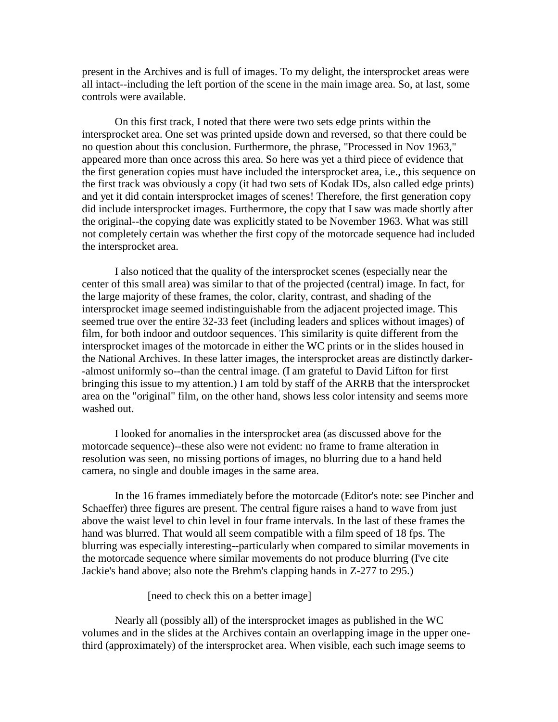present in the Archives and is full of images. To my delight, the intersprocket areas were all intact--including the left portion of the scene in the main image area. So, at last, some controls were available.

On this first track, I noted that there were two sets edge prints within the intersprocket area. One set was printed upside down and reversed, so that there could be no question about this conclusion. Furthermore, the phrase, "Processed in Nov 1963," appeared more than once across this area. So here was yet a third piece of evidence that the first generation copies must have included the intersprocket area, i.e., this sequence on the first track was obviously a copy (it had two sets of Kodak IDs, also called edge prints) and yet it did contain intersprocket images of scenes! Therefore, the first generation copy did include intersprocket images. Furthermore, the copy that I saw was made shortly after the original--the copying date was explicitly stated to be November 1963. What was still not completely certain was whether the first copy of the motorcade sequence had included the intersprocket area.

I also noticed that the quality of the intersprocket scenes (especially near the center of this small area) was similar to that of the projected (central) image. In fact, for the large majority of these frames, the color, clarity, contrast, and shading of the intersprocket image seemed indistinguishable from the adjacent projected image. This seemed true over the entire 32-33 feet (including leaders and splices without images) of film, for both indoor and outdoor sequences. This similarity is quite different from the intersprocket images of the motorcade in either the WC prints or in the slides housed in the National Archives. In these latter images, the intersprocket areas are distinctly darker- -almost uniformly so--than the central image. (I am grateful to David Lifton for first bringing this issue to my attention.) I am told by staff of the ARRB that the intersprocket area on the "original" film, on the other hand, shows less color intensity and seems more washed out.

I looked for anomalies in the intersprocket area (as discussed above for the motorcade sequence)--these also were not evident: no frame to frame alteration in resolution was seen, no missing portions of images, no blurring due to a hand held camera, no single and double images in the same area.

In the 16 frames immediately before the motorcade (Editor's note: see Pincher and Schaeffer) three figures are present. The central figure raises a hand to wave from just above the waist level to chin level in four frame intervals. In the last of these frames the hand was blurred. That would all seem compatible with a film speed of 18 fps. The blurring was especially interesting--particularly when compared to similar movements in the motorcade sequence where similar movements do not produce blurring (I've cite Jackie's hand above; also note the Brehm's clapping hands in Z-277 to 295.)

[need to check this on a better image]

Nearly all (possibly all) of the intersprocket images as published in the WC volumes and in the slides at the Archives contain an overlapping image in the upper onethird (approximately) of the intersprocket area. When visible, each such image seems to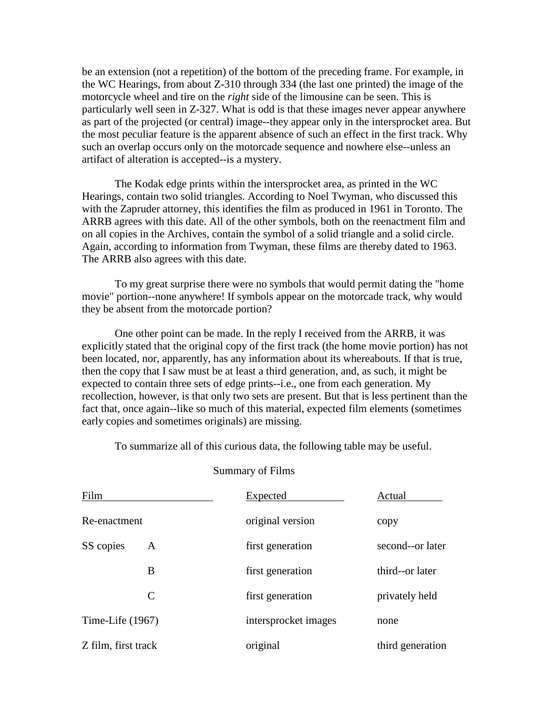be an extension (not a repetition) of the bottom of the preceding frame. For example, in the WC Hearings, from about Z-310 through 334 (the last one printed) the image of the motorcycle wheel and tire on the *right* side of the limousine can be seen. This is particularly well seen in Z-327. What is odd is that these images never appear anywhere as part of the projected (or central) image--they appear only in the intersprocket area. But the most peculiar feature is the apparent absence of such an effect in the first track. Why such an overlap occurs only on the motorcade sequence and nowhere else--unless an artifact of alteration is accepted--is a mystery.

The Kodak edge prints within the intersprocket area, as printed in the WC Hearings, contain two solid triangles. According to Noel Twyman, who discussed this with the Zapruder attorney, this identifies the film as produced in 1961 in Toronto. The ARRB agrees with this date. All of the other symbols, both on the reenactment film and on all copies in the Archives, contain the symbol of a solid triangle and a solid circle. Again, according to information from Twyman, these films are thereby dated to 1963. The ARRB also agrees with this date.

To my great surprise there were no symbols that would permit dating the "home movie" portion--none anywhere! If symbols appear on the motorcade track, why would they be absent from the motorcade portion?

One other point can be made. In the reply I received from the ARRB, it was explicitly stated that the original copy of the first track (the home movie portion) has not been located, nor, apparently, has any information about its whereabouts. If that is true, then the copy that I saw must be at least a third generation, and, as such, it might be expected to contain three sets of edge prints--i.e., one from each generation. My recollection, however, is that only two sets are present. But that is less pertinent than the fact that, once again--like so much of this material, expected film elements (sometimes early copies and sometimes originals) are missing.

To summarize all of this curious data, the following table may be useful.

| Film                | <b>Expected</b>      | Actual           |
|---------------------|----------------------|------------------|
| Re-enactment        | original version     | copy             |
| SS copies<br>A      | first generation     | second--or later |
| B                   | first generation     | third--or later  |
| C                   | first generation     | privately held   |
| Time-Life $(1967)$  | intersprocket images | none             |
| Z film, first track | original             | third generation |

Summary of Films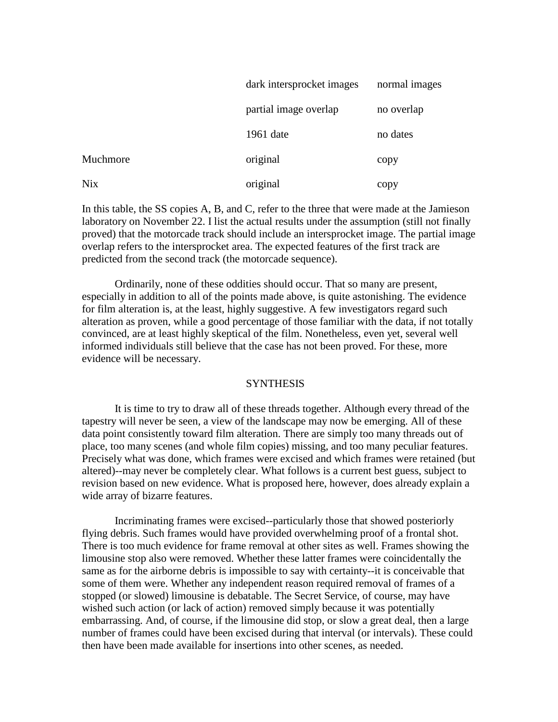|            | dark intersprocket images | normal images |
|------------|---------------------------|---------------|
|            | partial image overlap     | no overlap    |
|            | 1961 date                 | no dates      |
| Muchmore   | original                  | copy          |
| <b>Nix</b> | original                  | copy          |

In this table, the SS copies A, B, and C, refer to the three that were made at the Jamieson laboratory on November 22. I list the actual results under the assumption (still not finally proved) that the motorcade track should include an intersprocket image. The partial image overlap refers to the intersprocket area. The expected features of the first track are predicted from the second track (the motorcade sequence).

Ordinarily, none of these oddities should occur. That so many are present, especially in addition to all of the points made above, is quite astonishing. The evidence for film alteration is, at the least, highly suggestive. A few investigators regard such alteration as proven, while a good percentage of those familiar with the data, if not totally convinced, are at least highly skeptical of the film. Nonetheless, even yet, several well informed individuals still believe that the case has not been proved. For these, more evidence will be necessary.

## **SYNTHESIS**

It is time to try to draw all of these threads together. Although every thread of the tapestry will never be seen, a view of the landscape may now be emerging. All of these data point consistently toward film alteration. There are simply too many threads out of place, too many scenes (and whole film copies) missing, and too many peculiar features. Precisely what was done, which frames were excised and which frames were retained (but altered)--may never be completely clear. What follows is a current best guess, subject to revision based on new evidence. What is proposed here, however, does already explain a wide array of bizarre features.

Incriminating frames were excised--particularly those that showed posteriorly flying debris. Such frames would have provided overwhelming proof of a frontal shot. There is too much evidence for frame removal at other sites as well. Frames showing the limousine stop also were removed. Whether these latter frames were coincidentally the same as for the airborne debris is impossible to say with certainty--it is conceivable that some of them were. Whether any independent reason required removal of frames of a stopped (or slowed) limousine is debatable. The Secret Service, of course, may have wished such action (or lack of action) removed simply because it was potentially embarrassing. And, of course, if the limousine did stop, or slow a great deal, then a large number of frames could have been excised during that interval (or intervals). These could then have been made available for insertions into other scenes, as needed.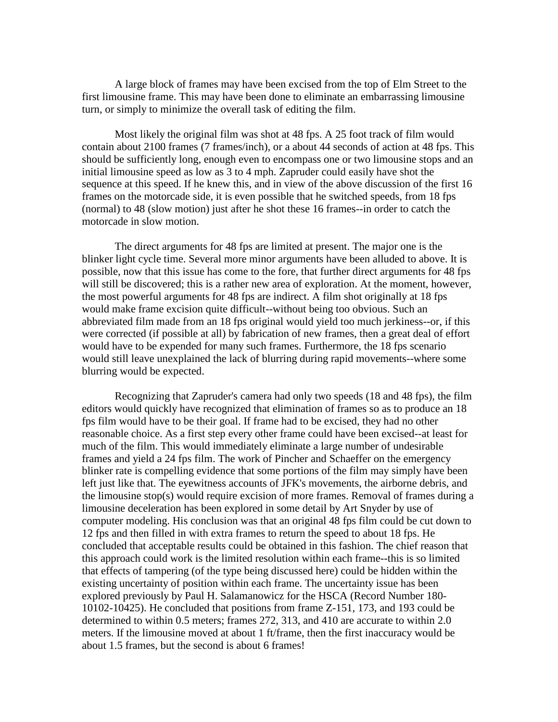A large block of frames may have been excised from the top of Elm Street to the first limousine frame. This may have been done to eliminate an embarrassing limousine turn, or simply to minimize the overall task of editing the film.

Most likely the original film was shot at 48 fps. A 25 foot track of film would contain about 2100 frames (7 frames/inch), or a about 44 seconds of action at 48 fps. This should be sufficiently long, enough even to encompass one or two limousine stops and an initial limousine speed as low as 3 to 4 mph. Zapruder could easily have shot the sequence at this speed. If he knew this, and in view of the above discussion of the first 16 frames on the motorcade side, it is even possible that he switched speeds, from 18 fps (normal) to 48 (slow motion) just after he shot these 16 frames--in order to catch the motorcade in slow motion.

The direct arguments for 48 fps are limited at present. The major one is the blinker light cycle time. Several more minor arguments have been alluded to above. It is possible, now that this issue has come to the fore, that further direct arguments for 48 fps will still be discovered; this is a rather new area of exploration. At the moment, however, the most powerful arguments for 48 fps are indirect. A film shot originally at 18 fps would make frame excision quite difficult--without being too obvious. Such an abbreviated film made from an 18 fps original would yield too much jerkiness--or, if this were corrected (if possible at all) by fabrication of new frames, then a great deal of effort would have to be expended for many such frames. Furthermore, the 18 fps scenario would still leave unexplained the lack of blurring during rapid movements--where some blurring would be expected.

Recognizing that Zapruder's camera had only two speeds (18 and 48 fps), the film editors would quickly have recognized that elimination of frames so as to produce an 18 fps film would have to be their goal. If frame had to be excised, they had no other reasonable choice. As a first step every other frame could have been excised--at least for much of the film. This would immediately eliminate a large number of undesirable frames and yield a 24 fps film. The work of Pincher and Schaeffer on the emergency blinker rate is compelling evidence that some portions of the film may simply have been left just like that. The eyewitness accounts of JFK's movements, the airborne debris, and the limousine stop(s) would require excision of more frames. Removal of frames during a limousine deceleration has been explored in some detail by Art Snyder by use of computer modeling. His conclusion was that an original 48 fps film could be cut down to 12 fps and then filled in with extra frames to return the speed to about 18 fps. He concluded that acceptable results could be obtained in this fashion. The chief reason that this approach could work is the limited resolution within each frame--this is so limited that effects of tampering (of the type being discussed here) could be hidden within the existing uncertainty of position within each frame. The uncertainty issue has been explored previously by Paul H. Salamanowicz for the HSCA (Record Number 180- 10102-10425). He concluded that positions from frame Z-151, 173, and 193 could be determined to within 0.5 meters; frames 272, 313, and 410 are accurate to within 2.0 meters. If the limousine moved at about 1 ft/frame, then the first inaccuracy would be about 1.5 frames, but the second is about 6 frames!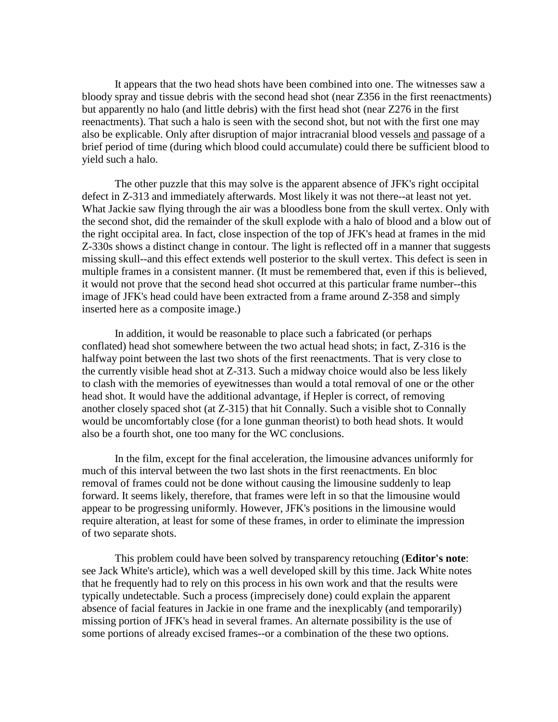It appears that the two head shots have been combined into one. The witnesses saw a bloody spray and tissue debris with the second head shot (near Z356 in the first reenactments) but apparently no halo (and little debris) with the first head shot (near Z276 in the first reenactments). That such a halo is seen with the second shot, but not with the first one may also be explicable. Only after disruption of major intracranial blood vessels and passage of a brief period of time (during which blood could accumulate) could there be sufficient blood to yield such a halo.

The other puzzle that this may solve is the apparent absence of JFK's right occipital defect in Z-313 and immediately afterwards. Most likely it was not there--at least not yet. What Jackie saw flying through the air was a bloodless bone from the skull vertex. Only with the second shot, did the remainder of the skull explode with a halo of blood and a blow out of the right occipital area. In fact, close inspection of the top of JFK's head at frames in the mid Z-330s shows a distinct change in contour. The light is reflected off in a manner that suggests missing skull--and this effect extends well posterior to the skull vertex. This defect is seen in multiple frames in a consistent manner. (It must be remembered that, even if this is believed, it would not prove that the second head shot occurred at this particular frame number--this image of JFK's head could have been extracted from a frame around Z-358 and simply inserted here as a composite image.)

In addition, it would be reasonable to place such a fabricated (or perhaps conflated) head shot somewhere between the two actual head shots; in fact, Z-316 is the halfway point between the last two shots of the first reenactments. That is very close to the currently visible head shot at Z-313. Such a midway choice would also be less likely to clash with the memories of eyewitnesses than would a total removal of one or the other head shot. It would have the additional advantage, if Hepler is correct, of removing another closely spaced shot (at Z-315) that hit Connally. Such a visible shot to Connally would be uncomfortably close (for a lone gunman theorist) to both head shots. It would also be a fourth shot, one too many for the WC conclusions.

In the film, except for the final acceleration, the limousine advances uniformly for much of this interval between the two last shots in the first reenactments. En bloc removal of frames could not be done without causing the limousine suddenly to leap forward. It seems likely, therefore, that frames were left in so that the limousine would appear to be progressing uniformly. However, JFK's positions in the limousine would require alteration, at least for some of these frames, in order to eliminate the impression of two separate shots.

This problem could have been solved by transparency retouching (**Editor's note**: see Jack White's article), which was a well developed skill by this time. Jack White notes that he frequently had to rely on this process in his own work and that the results were typically undetectable. Such a process (imprecisely done) could explain the apparent absence of facial features in Jackie in one frame and the inexplicably (and temporarily) missing portion of JFK's head in several frames. An alternate possibility is the use of some portions of already excised frames--or a combination of the these two options.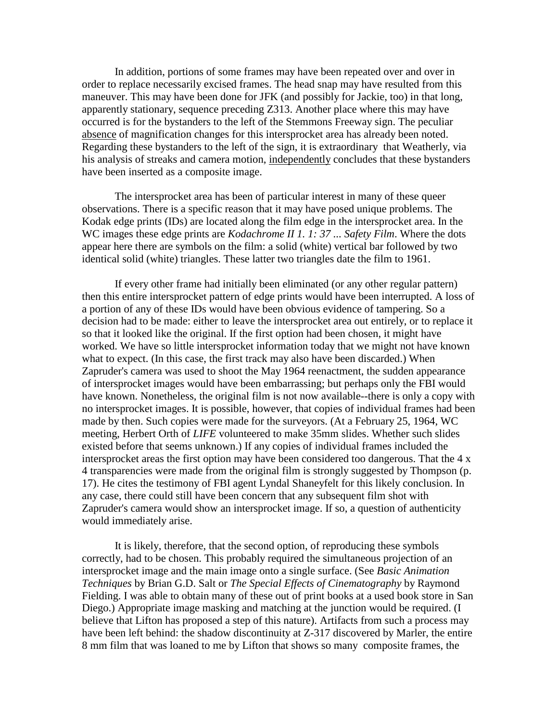In addition, portions of some frames may have been repeated over and over in order to replace necessarily excised frames. The head snap may have resulted from this maneuver. This may have been done for JFK (and possibly for Jackie, too) in that long, apparently stationary, sequence preceding Z313. Another place where this may have occurred is for the bystanders to the left of the Stemmons Freeway sign. The peculiar absence of magnification changes for this intersprocket area has already been noted. Regarding these bystanders to the left of the sign, it is extraordinary that Weatherly, via his analysis of streaks and camera motion, independently concludes that these bystanders have been inserted as a composite image.

The intersprocket area has been of particular interest in many of these queer observations. There is a specific reason that it may have posed unique problems. The Kodak edge prints (IDs) are located along the film edge in the intersprocket area. In the WC images these edge prints are *Kodachrome II 1. 1: 37 ... Safety Film*. Where the dots appear here there are symbols on the film: a solid (white) vertical bar followed by two identical solid (white) triangles. These latter two triangles date the film to 1961.

If every other frame had initially been eliminated (or any other regular pattern) then this entire intersprocket pattern of edge prints would have been interrupted. A loss of a portion of any of these IDs would have been obvious evidence of tampering. So a decision had to be made: either to leave the intersprocket area out entirely, or to replace it so that it looked like the original. If the first option had been chosen, it might have worked. We have so little intersprocket information today that we might not have known what to expect. (In this case, the first track may also have been discarded.) When Zapruder's camera was used to shoot the May 1964 reenactment, the sudden appearance of intersprocket images would have been embarrassing; but perhaps only the FBI would have known. Nonetheless, the original film is not now available--there is only a copy with no intersprocket images. It is possible, however, that copies of individual frames had been made by then. Such copies were made for the surveyors. (At a February 25, 1964, WC meeting, Herbert Orth of *LIFE* volunteered to make 35mm slides. Whether such slides existed before that seems unknown.) If any copies of individual frames included the intersprocket areas the first option may have been considered too dangerous. That the 4 x 4 transparencies were made from the original film is strongly suggested by Thompson (p. 17). He cites the testimony of FBI agent Lyndal Shaneyfelt for this likely conclusion. In any case, there could still have been concern that any subsequent film shot with Zapruder's camera would show an intersprocket image. If so, a question of authenticity would immediately arise.

It is likely, therefore, that the second option, of reproducing these symbols correctly, had to be chosen. This probably required the simultaneous projection of an intersprocket image and the main image onto a single surface. (See *Basic Animation Techniques* by Brian G.D. Salt or *The Special Effects of Cinematography* by Raymond Fielding. I was able to obtain many of these out of print books at a used book store in San Diego.) Appropriate image masking and matching at the junction would be required. (I believe that Lifton has proposed a step of this nature). Artifacts from such a process may have been left behind: the shadow discontinuity at Z-317 discovered by Marler, the entire 8 mm film that was loaned to me by Lifton that shows so many composite frames, the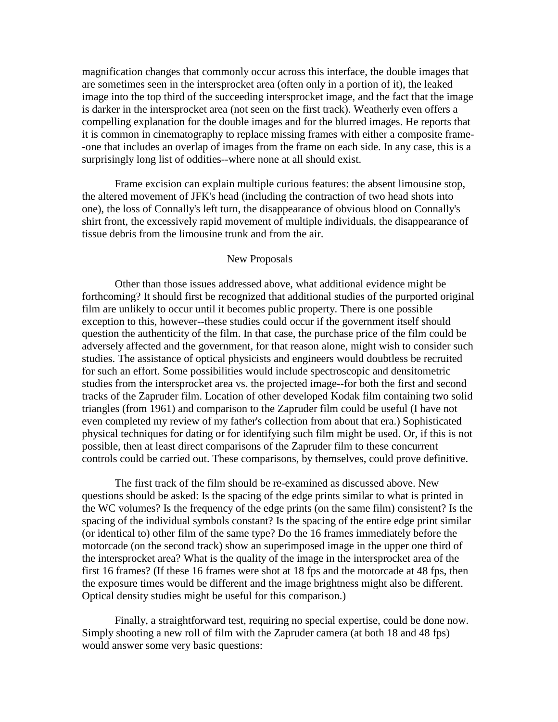magnification changes that commonly occur across this interface, the double images that are sometimes seen in the intersprocket area (often only in a portion of it), the leaked image into the top third of the succeeding intersprocket image, and the fact that the image is darker in the intersprocket area (not seen on the first track). Weatherly even offers a compelling explanation for the double images and for the blurred images. He reports that it is common in cinematography to replace missing frames with either a composite frame- -one that includes an overlap of images from the frame on each side. In any case, this is a surprisingly long list of oddities--where none at all should exist.

Frame excision can explain multiple curious features: the absent limousine stop, the altered movement of JFK's head (including the contraction of two head shots into one), the loss of Connally's left turn, the disappearance of obvious blood on Connally's shirt front, the excessively rapid movement of multiple individuals, the disappearance of tissue debris from the limousine trunk and from the air.

## New Proposals

Other than those issues addressed above, what additional evidence might be forthcoming? It should first be recognized that additional studies of the purported original film are unlikely to occur until it becomes public property. There is one possible exception to this, however--these studies could occur if the government itself should question the authenticity of the film. In that case, the purchase price of the film could be adversely affected and the government, for that reason alone, might wish to consider such studies. The assistance of optical physicists and engineers would doubtless be recruited for such an effort. Some possibilities would include spectroscopic and densitometric studies from the intersprocket area vs. the projected image--for both the first and second tracks of the Zapruder film. Location of other developed Kodak film containing two solid triangles (from 1961) and comparison to the Zapruder film could be useful (I have not even completed my review of my father's collection from about that era.) Sophisticated physical techniques for dating or for identifying such film might be used. Or, if this is not possible, then at least direct comparisons of the Zapruder film to these concurrent controls could be carried out. These comparisons, by themselves, could prove definitive.

The first track of the film should be re-examined as discussed above. New questions should be asked: Is the spacing of the edge prints similar to what is printed in the WC volumes? Is the frequency of the edge prints (on the same film) consistent? Is the spacing of the individual symbols constant? Is the spacing of the entire edge print similar (or identical to) other film of the same type? Do the 16 frames immediately before the motorcade (on the second track) show an superimposed image in the upper one third of the intersprocket area? What is the quality of the image in the intersprocket area of the first 16 frames? (If these 16 frames were shot at 18 fps and the motorcade at 48 fps, then the exposure times would be different and the image brightness might also be different. Optical density studies might be useful for this comparison.)

Finally, a straightforward test, requiring no special expertise, could be done now. Simply shooting a new roll of film with the Zapruder camera (at both 18 and 48 fps) would answer some very basic questions: